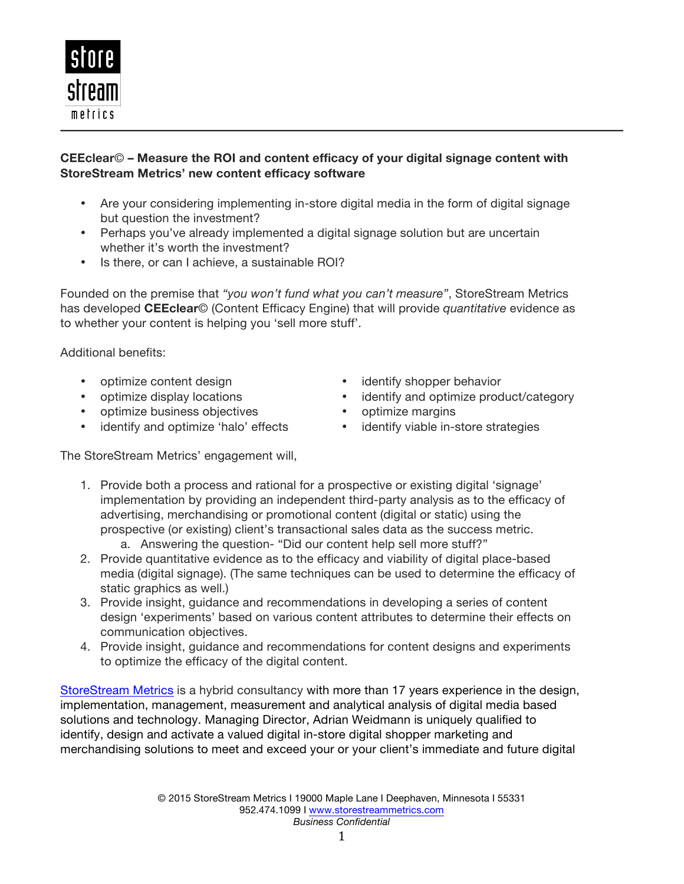

## **CEEclear**© **– Measure the ROI and content efficacy of your digital signage content with StoreStream Metrics' new content efficacy software**

- Are your considering implementing in-store digital media in the form of digital signage but question the investment?
- Perhaps you've already implemented a digital signage solution but are uncertain whether it's worth the investment?
- Is there, or can I achieve, a sustainable ROI?

Founded on the premise that *"you won't fund what you can't measure"*, StoreStream Metrics has developed **CEEclear**© (Content Efficacy Engine) that will provide *quantitative* evidence as to whether your content is helping you 'sell more stuff'.

Additional benefits:

- optimize content design
- optimize display locations
- optimize business objectives
- identify and optimize 'halo' effects
- identify shopper behavior
- identify and optimize product/category
- optimize margins
- identify viable in-store strategies

The StoreStream Metrics' engagement will,

- 1. Provide both a process and rational for a prospective or existing digital 'signage' implementation by providing an independent third-party analysis as to the efficacy of advertising, merchandising or promotional content (digital or static) using the prospective (or existing) client's transactional sales data as the success metric.
	- a. Answering the question- "Did our content help sell more stuff?"
- 2. Provide quantitative evidence as to the efficacy and viability of digital place-based media (digital signage). (The same techniques can be used to determine the efficacy of static graphics as well.)
- 3. Provide insight, guidance and recommendations in developing a series of content design 'experiments' based on various content attributes to determine their effects on communication objectives.
- 4. Provide insight, guidance and recommendations for content designs and experiments to optimize the efficacy of the digital content.

StoreStream Metrics is a hybrid consultancy with more than 17 years experience in the design, implementation, management, measurement and analytical analysis of digital media based solutions and technology. Managing Director, Adrian Weidmann is uniquely qualified to identify, design and activate a valued digital in-store digital shopper marketing and merchandising solutions to meet and exceed your or your client's immediate and future digital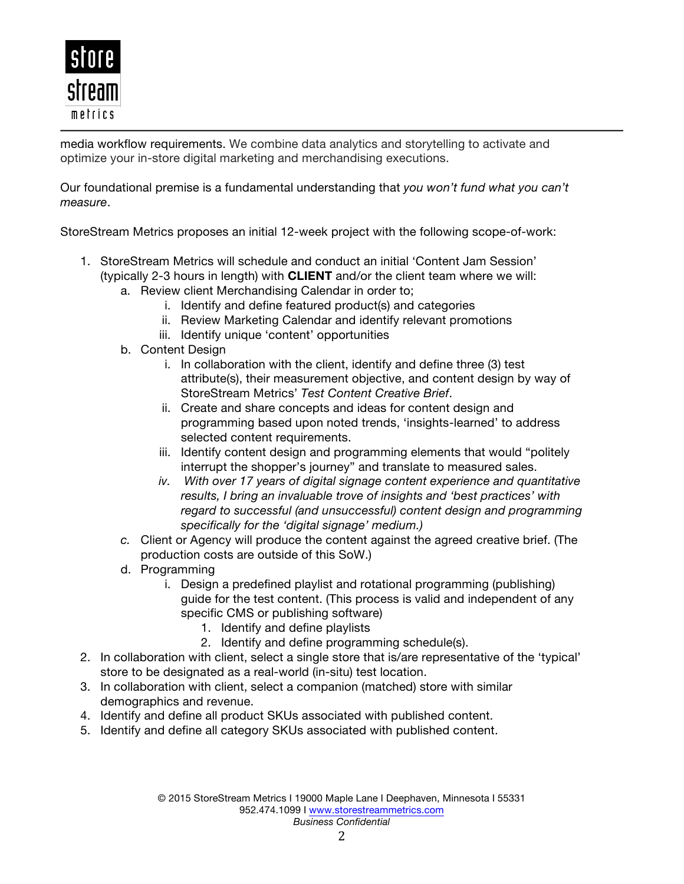

media workflow requirements. We combine data analytics and storytelling to activate and optimize your in-store digital marketing and merchandising executions.

Our foundational premise is a fundamental understanding that *you won't fund what you can't measure*.

StoreStream Metrics proposes an initial 12-week project with the following scope-of-work:

- 1. StoreStream Metrics will schedule and conduct an initial 'Content Jam Session' (typically 2-3 hours in length) with **CLIENT** and/or the client team where we will:
	- a. Review client Merchandising Calendar in order to;
		- i. Identify and define featured product(s) and categories
		- ii. Review Marketing Calendar and identify relevant promotions
		- iii. Identify unique 'content' opportunities
	- b. Content Design
		- i. In collaboration with the client, identify and define three (3) test attribute(s), their measurement objective, and content design by way of StoreStream Metrics' *Test Content Creative Brief*.
		- ii. Create and share concepts and ideas for content design and programming based upon noted trends, 'insights-learned' to address selected content requirements.
		- iii. Identify content design and programming elements that would "politely interrupt the shopper's journey" and translate to measured sales.
		- *iv. With over 17 years of digital signage content experience and quantitative results, I bring an invaluable trove of insights and 'best practices' with regard to successful (and unsuccessful) content design and programming specifically for the 'digital signage' medium.)*
	- *c.* Client or Agency will produce the content against the agreed creative brief. (The production costs are outside of this SoW.)
	- d. Programming
		- i. Design a predefined playlist and rotational programming (publishing) guide for the test content. (This process is valid and independent of any specific CMS or publishing software)
			- 1. Identify and define playlists
			- 2. Identify and define programming schedule(s).
- 2. In collaboration with client, select a single store that is/are representative of the 'typical' store to be designated as a real-world (in-situ) test location.
- 3. In collaboration with client, select a companion (matched) store with similar demographics and revenue.
- 4. Identify and define all product SKUs associated with published content.
- 5. Identify and define all category SKUs associated with published content.